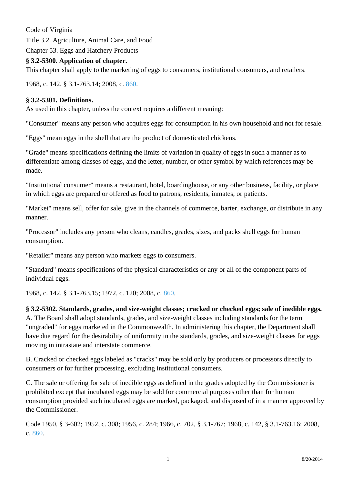Code of Virginia Title 3.2. Agriculture, Animal Care, and Food Chapter 53. Eggs and Hatchery Products

## **§ 3.2-5300. Application of chapter.**

This chapter shall apply to the marketing of eggs to consumers, institutional consumers, and retailers.

1968, c. 142, § 3.1-763.14; 2008, c. [860.](http://lis.virginia.gov/cgi-bin/legp604.exe?081+ful+CHAP0860)

# **§ 3.2-5301. Definitions.**

As used in this chapter, unless the context requires a different meaning:

"Consumer" means any person who acquires eggs for consumption in his own household and not for resale.

"Eggs" mean eggs in the shell that are the product of domesticated chickens.

"Grade" means specifications defining the limits of variation in quality of eggs in such a manner as to differentiate among classes of eggs, and the letter, number, or other symbol by which references may be made.

"Institutional consumer" means a restaurant, hotel, boardinghouse, or any other business, facility, or place in which eggs are prepared or offered as food to patrons, residents, inmates, or patients.

"Market" means sell, offer for sale, give in the channels of commerce, barter, exchange, or distribute in any manner.

"Processor" includes any person who cleans, candles, grades, sizes, and packs shell eggs for human consumption.

"Retailer" means any person who markets eggs to consumers.

"Standard" means specifications of the physical characteristics or any or all of the component parts of individual eggs.

1968, c. 142, § 3.1-763.15; 1972, c. 120; 2008, c. [860.](http://lis.virginia.gov/cgi-bin/legp604.exe?081+ful+CHAP0860)

## **§ 3.2-5302. Standards, grades, and size-weight classes; cracked or checked eggs; sale of inedible eggs.** A. The Board shall adopt standards, grades, and size-weight classes including standards for the term "ungraded" for eggs marketed in the Commonwealth. In administering this chapter, the Department shall have due regard for the desirability of uniformity in the standards, grades, and size-weight classes for eggs moving in intrastate and interstate commerce.

B. Cracked or checked eggs labeled as "cracks" may be sold only by producers or processors directly to consumers or for further processing, excluding institutional consumers.

C. The sale or offering for sale of inedible eggs as defined in the grades adopted by the Commissioner is prohibited except that incubated eggs may be sold for commercial purposes other than for human consumption provided such incubated eggs are marked, packaged, and disposed of in a manner approved by the Commissioner.

Code 1950, § 3-602; 1952, c. 308; 1956, c. 284; 1966, c. 702, § 3.1-767; 1968, c. 142, § 3.1-763.16; 2008, c. [860](http://lis.virginia.gov/cgi-bin/legp604.exe?081+ful+CHAP0860).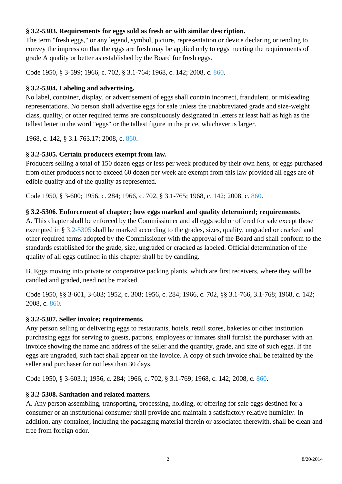### **§ 3.2-5303. Requirements for eggs sold as fresh or with similar description.**

The term "fresh eggs," or any legend, symbol, picture, representation or device declaring or tending to convey the impression that the eggs are fresh may be applied only to eggs meeting the requirements of grade A quality or better as established by the Board for fresh eggs. ſ

Code 1950, § 3-599; 1966, c. 702, § 3.1-764; 1968, c. 142; 2008, c. [860](http://lis.virginia.gov/cgi-bin/legp604.exe?081+ful+CHAP0860).

#### **§ 3.2-5304. Labeling and advertising.**

No label, container, display, or advertisement of eggs shall contain incorrect, fraudulent, or misleading representations. No person shall advertise eggs for sale unless the unabbreviated grade and size-weight class, quality, or other required terms are conspicuously designated in letters at least half as high as the tallest letter in the word "eggs" or the tallest figure in the price, whichever is larger.

1968, c. 142, § 3.1-763.17; 2008, c. [860.](http://lis.virginia.gov/cgi-bin/legp604.exe?081+ful+CHAP0860)

## **§ 3.2-5305. Certain producers exempt from law.**

Producers selling a total of 150 dozen eggs or less per week produced by their own hens, or eggs purchased from other producers not to exceed 60 dozen per week are exempt from this law provided all eggs are of edible quality and of the quality as represented.

Code 1950, § 3-600; 1956, c. 284; 1966, c. 702, § 3.1-765; 1968, c. 142; 2008, c. [860.](http://lis.virginia.gov/cgi-bin/legp604.exe?081+ful+CHAP0860)

## **§ 3.2-5306. Enforcement of chapter; how eggs marked and quality determined; requirements.**

A. This chapter shall be enforced by the Commissioner and all eggs sold or offered for sale except those exempted in § [3.2-5305](http://law.lis.virginia.gov/vacode/3.2-5305/) shall be marked according to the grades, sizes, quality, ungraded or cracked and other required terms adopted by the Commissioner with the approval of the Board and shall conform to the standards established for the grade, size, ungraded or cracked as labeled. Official determination of the quality of all eggs outlined in this chapter shall be by candling.

B. Eggs moving into private or cooperative packing plants, which are first receivers, where they will be candled and graded, need not be marked.

Code 1950, §§ 3-601, 3-603; 1952, c. 308; 1956, c. 284; 1966, c. 702, §§ 3.1-766, 3.1-768; 1968, c. 142; 2008, c. [860](http://lis.virginia.gov/cgi-bin/legp604.exe?081+ful+CHAP0860).

## **§ 3.2-5307. Seller invoice; requirements.**

Any person selling or delivering eggs to restaurants, hotels, retail stores, bakeries or other institution purchasing eggs for serving to guests, patrons, employees or inmates shall furnish the purchaser with an invoice showing the name and address of the seller and the quantity, grade, and size of such eggs. If the eggs are ungraded, such fact shall appear on the invoice. A copy of such invoice shall be retained by the seller and purchaser for not less than 30 days.

Code 1950, § 3-603.1; 1956, c. 284; 1966, c. 702, § 3.1-769; 1968, c. 142; 2008, c. [860.](http://lis.virginia.gov/cgi-bin/legp604.exe?081+ful+CHAP0860)

## **§ 3.2-5308. Sanitation and related matters.**

A. Any person assembling, transporting, processing, holding, or offering for sale eggs destined for a consumer or an institutional consumer shall provide and maintain a satisfactory relative humidity. In addition, any container, including the packaging material therein or associated therewith, shall be clean and free from foreign odor.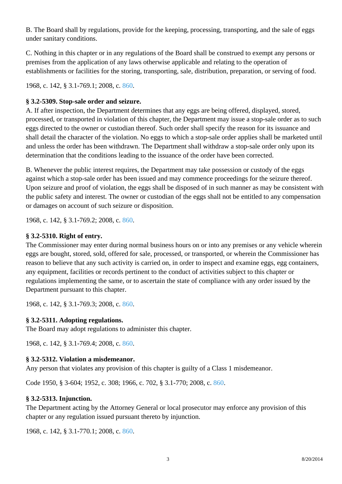B. The Board shall by regulations, provide for the keeping, processing, transporting, and the sale of eggs under sanitary conditions.

C. Nothing in this chapter or in any regulations of the Board shall be construed to exempt any persons or premises from the application of any laws otherwise applicable and relating to the operation of establishments or facilities for the storing, transporting, sale, distribution, preparation, or serving of food.

1968, c. 142, § 3.1-769.1; 2008, c. [860.](http://lis.virginia.gov/cgi-bin/legp604.exe?081+ful+CHAP0860)

## **§ 3.2-5309. Stop-sale order and seizure.**

A. If after inspection, the Department determines that any eggs are being offered, displayed, stored, processed, or transported in violation of this chapter, the Department may issue a stop-sale order as to such eggs directed to the owner or custodian thereof. Such order shall specify the reason for its issuance and shall detail the character of the violation. No eggs to which a stop-sale order applies shall be marketed until and unless the order has been withdrawn. The Department shall withdraw a stop-sale order only upon its determination that the conditions leading to the issuance of the order have been corrected.

B. Whenever the public interest requires, the Department may take possession or custody of the eggs against which a stop-sale order has been issued and may commence proceedings for the seizure thereof. Upon seizure and proof of violation, the eggs shall be disposed of in such manner as may be consistent with the public safety and interest. The owner or custodian of the eggs shall not be entitled to any compensation or damages on account of such seizure or disposition.

1968, c. 142, § 3.1-769.2; 2008, c. [860.](http://lis.virginia.gov/cgi-bin/legp604.exe?081+ful+CHAP0860)

# **§ 3.2-5310. Right of entry.**

The Commissioner may enter during normal business hours on or into any premises or any vehicle wherein eggs are bought, stored, sold, offered for sale, processed, or transported, or wherein the Commissioner has reason to believe that any such activity is carried on, in order to inspect and examine eggs, egg containers, any equipment, facilities or records pertinent to the conduct of activities subject to this chapter or regulations implementing the same, or to ascertain the state of compliance with any order issued by the Department pursuant to this chapter.

1968, c. 142, § 3.1-769.3; 2008, c. [860.](http://lis.virginia.gov/cgi-bin/legp604.exe?081+ful+CHAP0860)

## **§ 3.2-5311. Adopting regulations.**

The Board may adopt regulations to administer this chapter.

1968, c. 142, § 3.1-769.4; 2008, c. [860.](http://lis.virginia.gov/cgi-bin/legp604.exe?081+ful+CHAP0860)

## **§ 3.2-5312. Violation a misdemeanor.**

Any person that violates any provision of this chapter is guilty of a Class 1 misdemeanor.

Code 1950, § 3-604; 1952, c. 308; 1966, c. 702, § 3.1-770; 2008, c. [860](http://lis.virginia.gov/cgi-bin/legp604.exe?081+ful+CHAP0860).

## **§ 3.2-5313. Injunction.**

The Department acting by the Attorney General or local prosecutor may enforce any provision of this chapter or any regulation issued pursuant thereto by injunction.

1968, c. 142, § 3.1-770.1; 2008, c. [860.](http://lis.virginia.gov/cgi-bin/legp604.exe?081+ful+CHAP0860)